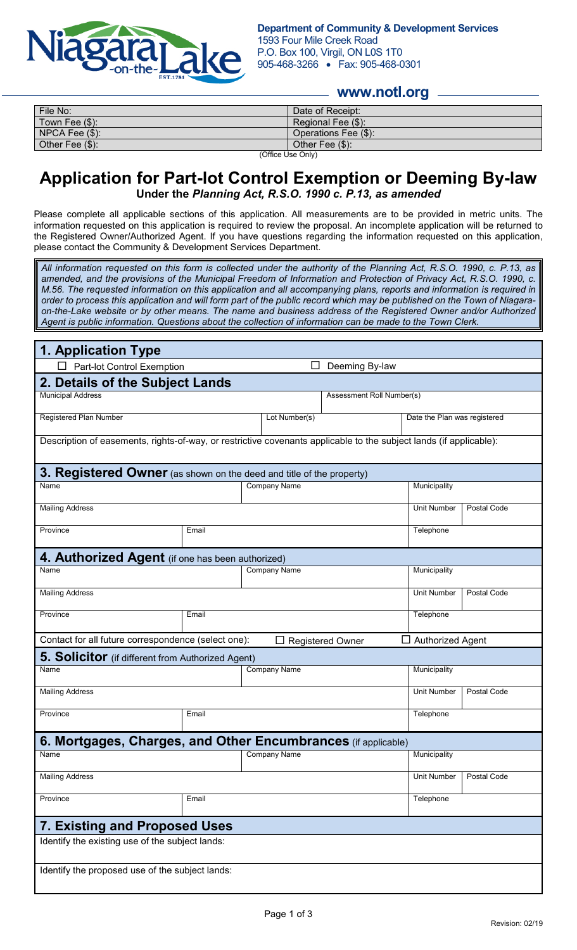

## **www.notl.org**

| File No:            | Date of Receipt:     |  |
|---------------------|----------------------|--|
| Town Fee $(\$)$ :   | Regional Fee (\$):   |  |
| $NPCA$ Fee $(\$)$ : | Operations Fee (\$): |  |
| Other Fee (\$):     | Other Fee $(\$)$ :   |  |
| (Office Use Only)   |                      |  |

**Application for Part-lot Control Exemption or Deeming By-law Under the** *Planning Act, R.S.O. 1990 c. P.13, as amended*

Please complete all applicable sections of this application. All measurements are to be provided in metric units. The information requested on this application is required to review the proposal. An incomplete application will be returned to the Registered Owner/Authorized Agent. If you have questions regarding the information requested on this application, please contact the Community & Development Services Department.

*All information requested on this form is collected under the authority of the Planning Act, R.S.O. 1990, c. P.13, as amended, and the provisions of the Municipal Freedom of Information and Protection of Privacy Act, R.S.O. 1990, c. M.56. The requested information on this application and all accompanying plans, reports and information is required in order to process this application and will form part of the public record which may be published on the Town of Niagaraon-the-Lake website or by other means. The name and business address of the Registered Owner and/or Authorized Agent is public information. Questions about the collection of information can be made to the Town Clerk.*

| 1. Application Type                                                                                                |                           |                     |                              |                    |             |  |
|--------------------------------------------------------------------------------------------------------------------|---------------------------|---------------------|------------------------------|--------------------|-------------|--|
| Deeming By-law<br>Part-lot Control Exemption                                                                       |                           |                     |                              |                    |             |  |
| 2. Details of the Subject Lands                                                                                    |                           |                     |                              |                    |             |  |
| <b>Municipal Address</b>                                                                                           | Assessment Roll Number(s) |                     |                              |                    |             |  |
| Registered Plan Number                                                                                             | Lot Number(s)             |                     | Date the Plan was registered |                    |             |  |
| Description of easements, rights-of-way, or restrictive covenants applicable to the subject lands (if applicable): |                           |                     |                              |                    |             |  |
| 3. Registered Owner (as shown on the deed and title of the property)                                               |                           |                     |                              |                    |             |  |
| Name                                                                                                               | <b>Company Name</b>       |                     | Municipality                 |                    |             |  |
| <b>Mailing Address</b>                                                                                             |                           |                     |                              | <b>Unit Number</b> | Postal Code |  |
| Province                                                                                                           | Email                     |                     | Telephone                    |                    |             |  |
| 4. Authorized Agent (if one has been authorized)                                                                   |                           |                     |                              |                    |             |  |
| Name<br><b>Company Name</b>                                                                                        |                           | Municipality        |                              |                    |             |  |
| <b>Mailing Address</b>                                                                                             |                           | <b>Unit Number</b>  | Postal Code                  |                    |             |  |
| Province                                                                                                           | Email                     |                     | Telephone                    |                    |             |  |
| Contact for all future correspondence (select one):<br>$\Box$ Authorized Agent<br><b>Registered Owner</b>          |                           |                     |                              |                    |             |  |
| <b>5. Solicitor</b> (if different from Authorized Agent)                                                           |                           |                     |                              |                    |             |  |
| Name                                                                                                               |                           | <b>Company Name</b> |                              | Municipality       |             |  |
| <b>Mailing Address</b>                                                                                             |                           |                     |                              | <b>Unit Number</b> | Postal Code |  |
| Province                                                                                                           | Email                     |                     | Telephone                    |                    |             |  |
| <b>6. Mortgages, Charges, and Other Encumbrances</b> (if applicable)                                               |                           |                     |                              |                    |             |  |
| Name                                                                                                               |                           | <b>Company Name</b> |                              | Municipality       |             |  |
| <b>Mailing Address</b>                                                                                             |                           |                     |                              | Unit Number        | Postal Code |  |
| Province                                                                                                           | Email                     |                     | Telephone                    |                    |             |  |
| <b>7. Existing and Proposed Uses</b>                                                                               |                           |                     |                              |                    |             |  |
| Identify the existing use of the subject lands:                                                                    |                           |                     |                              |                    |             |  |
| Identify the proposed use of the subject lands:                                                                    |                           |                     |                              |                    |             |  |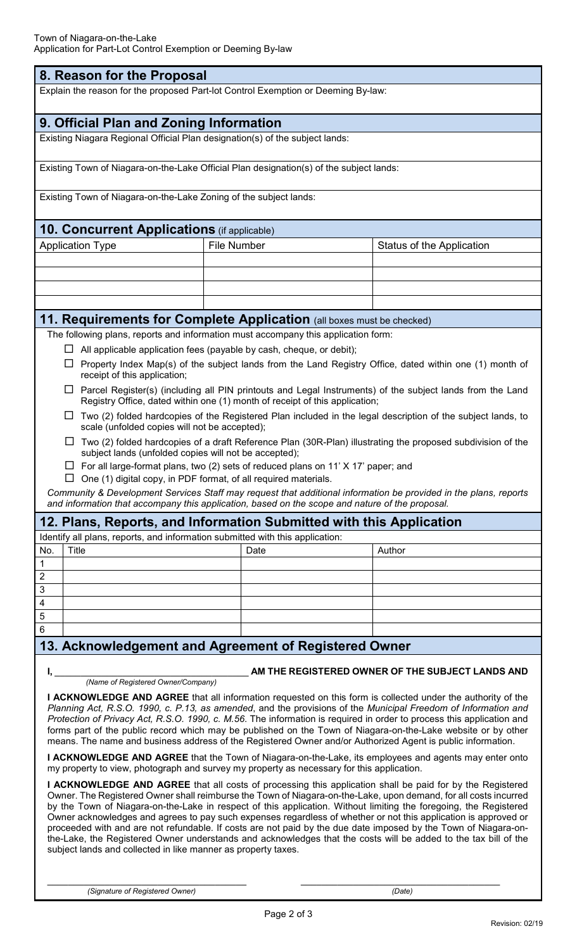| 8. Reason for the Proposal                                                                                                                                                                                                              |                                                                      |                                                                                                                  |  |  |  |  |
|-----------------------------------------------------------------------------------------------------------------------------------------------------------------------------------------------------------------------------------------|----------------------------------------------------------------------|------------------------------------------------------------------------------------------------------------------|--|--|--|--|
| Explain the reason for the proposed Part-lot Control Exemption or Deeming By-law:                                                                                                                                                       |                                                                      |                                                                                                                  |  |  |  |  |
| 9. Official Plan and Zoning Information                                                                                                                                                                                                 |                                                                      |                                                                                                                  |  |  |  |  |
| Existing Niagara Regional Official Plan designation(s) of the subject lands:                                                                                                                                                            |                                                                      |                                                                                                                  |  |  |  |  |
| Existing Town of Niagara-on-the-Lake Official Plan designation(s) of the subject lands:                                                                                                                                                 |                                                                      |                                                                                                                  |  |  |  |  |
| Existing Town of Niagara-on-the-Lake Zoning of the subject lands:                                                                                                                                                                       |                                                                      |                                                                                                                  |  |  |  |  |
| 10. Concurrent Applications (if applicable)                                                                                                                                                                                             |                                                                      |                                                                                                                  |  |  |  |  |
| <b>Application Type</b>                                                                                                                                                                                                                 | <b>File Number</b>                                                   | Status of the Application                                                                                        |  |  |  |  |
|                                                                                                                                                                                                                                         |                                                                      |                                                                                                                  |  |  |  |  |
|                                                                                                                                                                                                                                         |                                                                      |                                                                                                                  |  |  |  |  |
|                                                                                                                                                                                                                                         |                                                                      |                                                                                                                  |  |  |  |  |
| 11. Requirements for Complete Application (all boxes must be checked)                                                                                                                                                                   |                                                                      |                                                                                                                  |  |  |  |  |
| The following plans, reports and information must accompany this application form:                                                                                                                                                      |                                                                      |                                                                                                                  |  |  |  |  |
|                                                                                                                                                                                                                                         | All applicable application fees (payable by cash, cheque, or debit); |                                                                                                                  |  |  |  |  |
| $\Box$<br>receipt of this application;                                                                                                                                                                                                  |                                                                      | Property Index Map(s) of the subject lands from the Land Registry Office, dated within one (1) month of          |  |  |  |  |
| $\Box$ Parcel Register(s) (including all PIN printouts and Legal Instruments) of the subject lands from the Land<br>Registry Office, dated within one (1) month of receipt of this application;                                         |                                                                      |                                                                                                                  |  |  |  |  |
| Two (2) folded hardcopies of the Registered Plan included in the legal description of the subject lands, to<br>⊔<br>scale (unfolded copies will not be accepted);                                                                       |                                                                      |                                                                                                                  |  |  |  |  |
| subject lands (unfolded copies will not be accepted);                                                                                                                                                                                   |                                                                      | Two (2) folded hardcopies of a draft Reference Plan (30R-Plan) illustrating the proposed subdivision of the      |  |  |  |  |
| $\Box$ For all large-format plans, two (2) sets of reduced plans on 11' X 17' paper; and                                                                                                                                                |                                                                      |                                                                                                                  |  |  |  |  |
| □                                                                                                                                                                                                                                       | One (1) digital copy, in PDF format, of all required materials.      |                                                                                                                  |  |  |  |  |
| and information that accompany this application, based on the scope and nature of the proposal.                                                                                                                                         |                                                                      | Community & Development Services Staff may request that additional information be provided in the plans, reports |  |  |  |  |
|                                                                                                                                                                                                                                         |                                                                      |                                                                                                                  |  |  |  |  |
| 12. Plans, Reports, and Information Submitted with this Application<br>Identify all plans, reports, and information submitted with this application:                                                                                    |                                                                      |                                                                                                                  |  |  |  |  |
| <b>Title</b><br>No.                                                                                                                                                                                                                     | Date                                                                 | Author                                                                                                           |  |  |  |  |
| 1                                                                                                                                                                                                                                       |                                                                      |                                                                                                                  |  |  |  |  |
| $\overline{c}$<br>3                                                                                                                                                                                                                     |                                                                      |                                                                                                                  |  |  |  |  |
| 4                                                                                                                                                                                                                                       |                                                                      |                                                                                                                  |  |  |  |  |
| 5                                                                                                                                                                                                                                       |                                                                      |                                                                                                                  |  |  |  |  |
| 6                                                                                                                                                                                                                                       |                                                                      |                                                                                                                  |  |  |  |  |
| 13. Acknowledgement and Agreement of Registered Owner                                                                                                                                                                                   |                                                                      |                                                                                                                  |  |  |  |  |
| AM THE REGISTERED OWNER OF THE SUBJECT LANDS AND                                                                                                                                                                                        |                                                                      |                                                                                                                  |  |  |  |  |
| (Name of Registered Owner/Company)                                                                                                                                                                                                      |                                                                      |                                                                                                                  |  |  |  |  |
| I ACKNOWLEDGE AND AGREE that all information requested on this form is collected under the authority of the                                                                                                                             |                                                                      |                                                                                                                  |  |  |  |  |
| Planning Act, R.S.O. 1990, c. P.13, as amended, and the provisions of the Municipal Freedom of Information and<br>Protection of Privacy Act, R.S.O. 1990, c. M.56. The information is required in order to process this application and |                                                                      |                                                                                                                  |  |  |  |  |
| forms part of the public record which may be published on the Town of Niagara-on-the-Lake website or by other                                                                                                                           |                                                                      |                                                                                                                  |  |  |  |  |
| means. The name and business address of the Registered Owner and/or Authorized Agent is public information.<br>I ACKNOWLEDGE AND AGREE that the Town of Niagara-on-the-Lake, its employees and agents may enter onto                    |                                                                      |                                                                                                                  |  |  |  |  |
| my property to view, photograph and survey my property as necessary for this application.                                                                                                                                               |                                                                      |                                                                                                                  |  |  |  |  |
| I ACKNOWLEDGE AND AGREE that all costs of processing this application shall be paid for by the Registered                                                                                                                               |                                                                      |                                                                                                                  |  |  |  |  |
| Owner. The Registered Owner shall reimburse the Town of Niagara-on-the-Lake, upon demand, for all costs incurred<br>by the Town of Niagara-on-the-Lake in respect of this application. Without limiting the foregoing, the Registered   |                                                                      |                                                                                                                  |  |  |  |  |
| Owner acknowledges and agrees to pay such expenses regardless of whether or not this application is approved or                                                                                                                         |                                                                      |                                                                                                                  |  |  |  |  |
| proceeded with and are not refundable. If costs are not paid by the due date imposed by the Town of Niagara-on-<br>the-Lake, the Registered Owner understands and acknowledges that the costs will be added to the tax bill of the      |                                                                      |                                                                                                                  |  |  |  |  |
| subject lands and collected in like manner as property taxes.                                                                                                                                                                           |                                                                      |                                                                                                                  |  |  |  |  |
|                                                                                                                                                                                                                                         |                                                                      |                                                                                                                  |  |  |  |  |
| (Signature of Registered Owner)                                                                                                                                                                                                         |                                                                      | (Date)                                                                                                           |  |  |  |  |